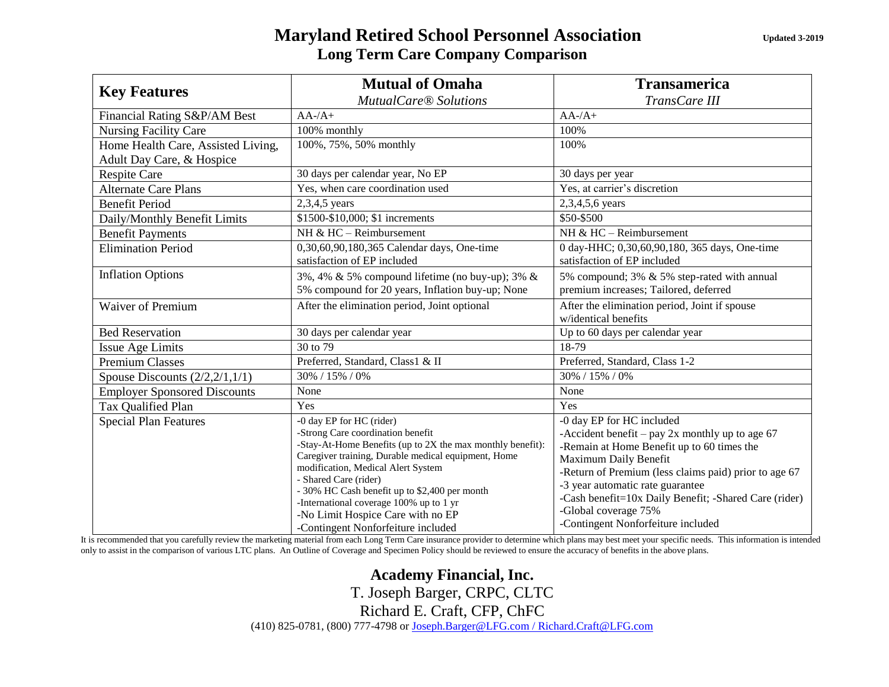## **Maryland Retired School Personnel Association** *Updated 3-2019* **Long Term Care Company Comparison**

| <b>Key Features</b>                 | <b>Mutual of Omaha</b>                                                                                                                                                                                                                                                                                                                                                                                                   | <b>Transamerica</b>                                                                                                                                                                                                                                                                                                                                                       |
|-------------------------------------|--------------------------------------------------------------------------------------------------------------------------------------------------------------------------------------------------------------------------------------------------------------------------------------------------------------------------------------------------------------------------------------------------------------------------|---------------------------------------------------------------------------------------------------------------------------------------------------------------------------------------------------------------------------------------------------------------------------------------------------------------------------------------------------------------------------|
|                                     | <b>MutualCare® Solutions</b>                                                                                                                                                                                                                                                                                                                                                                                             | TransCare III                                                                                                                                                                                                                                                                                                                                                             |
| Financial Rating S&P/AM Best        | $AA$ -/ $A+$                                                                                                                                                                                                                                                                                                                                                                                                             | $AA$ -/ $A+$                                                                                                                                                                                                                                                                                                                                                              |
| <b>Nursing Facility Care</b>        | 100% monthly                                                                                                                                                                                                                                                                                                                                                                                                             | 100%                                                                                                                                                                                                                                                                                                                                                                      |
| Home Health Care, Assisted Living,  | 100%, 75%, 50% monthly                                                                                                                                                                                                                                                                                                                                                                                                   | 100%                                                                                                                                                                                                                                                                                                                                                                      |
| Adult Day Care, & Hospice           |                                                                                                                                                                                                                                                                                                                                                                                                                          |                                                                                                                                                                                                                                                                                                                                                                           |
| <b>Respite Care</b>                 | 30 days per calendar year, No EP                                                                                                                                                                                                                                                                                                                                                                                         | 30 days per year                                                                                                                                                                                                                                                                                                                                                          |
| <b>Alternate Care Plans</b>         | Yes, when care coordination used                                                                                                                                                                                                                                                                                                                                                                                         | Yes, at carrier's discretion                                                                                                                                                                                                                                                                                                                                              |
| <b>Benefit Period</b>               | 2,3,4,5 years                                                                                                                                                                                                                                                                                                                                                                                                            | 2,3,4,5,6 years                                                                                                                                                                                                                                                                                                                                                           |
| Daily/Monthly Benefit Limits        | \$1500-\$10,000; \$1 increments                                                                                                                                                                                                                                                                                                                                                                                          | \$50-\$500                                                                                                                                                                                                                                                                                                                                                                |
| <b>Benefit Payments</b>             | NH & $HC - Reimbursement$                                                                                                                                                                                                                                                                                                                                                                                                | NH & $HC - Reimbursement$                                                                                                                                                                                                                                                                                                                                                 |
| <b>Elimination Period</b>           | 0,30,60,90,180,365 Calendar days, One-time<br>satisfaction of EP included                                                                                                                                                                                                                                                                                                                                                | 0 day-HHC; 0,30,60,90,180, 365 days, One-time<br>satisfaction of EP included                                                                                                                                                                                                                                                                                              |
| <b>Inflation Options</b>            | 3%, 4% & 5% compound lifetime (no buy-up); 3% &<br>5% compound for 20 years, Inflation buy-up; None                                                                                                                                                                                                                                                                                                                      | 5% compound; 3% & 5% step-rated with annual<br>premium increases; Tailored, deferred                                                                                                                                                                                                                                                                                      |
| Waiver of Premium                   | After the elimination period, Joint optional                                                                                                                                                                                                                                                                                                                                                                             | After the elimination period, Joint if spouse<br>w/identical benefits                                                                                                                                                                                                                                                                                                     |
| <b>Bed Reservation</b>              | 30 days per calendar year                                                                                                                                                                                                                                                                                                                                                                                                | Up to 60 days per calendar year                                                                                                                                                                                                                                                                                                                                           |
| <b>Issue Age Limits</b>             | 30 to 79                                                                                                                                                                                                                                                                                                                                                                                                                 | 18-79                                                                                                                                                                                                                                                                                                                                                                     |
| <b>Premium Classes</b>              | Preferred, Standard, Class1 & II                                                                                                                                                                                                                                                                                                                                                                                         | Preferred, Standard, Class 1-2                                                                                                                                                                                                                                                                                                                                            |
| Spouse Discounts $(2/2, 2/1, 1/1)$  | 30% / 15% / 0%                                                                                                                                                                                                                                                                                                                                                                                                           | 30% / 15% / 0%                                                                                                                                                                                                                                                                                                                                                            |
| <b>Employer Sponsored Discounts</b> | None                                                                                                                                                                                                                                                                                                                                                                                                                     | None                                                                                                                                                                                                                                                                                                                                                                      |
| Tax Qualified Plan                  | Yes                                                                                                                                                                                                                                                                                                                                                                                                                      | Yes                                                                                                                                                                                                                                                                                                                                                                       |
| <b>Special Plan Features</b>        | -0 day EP for HC (rider)<br>-Strong Care coordination benefit<br>-Stay-At-Home Benefits (up to 2X the max monthly benefit):<br>Caregiver training, Durable medical equipment, Home<br>modification, Medical Alert System<br>- Shared Care (rider)<br>- 30% HC Cash benefit up to \$2,400 per month<br>-International coverage 100% up to 1 yr<br>-No Limit Hospice Care with no EP<br>-Contingent Nonforfeiture included | -0 day EP for HC included<br>-Accident benefit – pay $2x$ monthly up to age 67<br>-Remain at Home Benefit up to 60 times the<br>Maximum Daily Benefit<br>-Return of Premium (less claims paid) prior to age 67<br>-3 year automatic rate guarantee<br>-Cash benefit=10x Daily Benefit; -Shared Care (rider)<br>-Global coverage 75%<br>-Contingent Nonforfeiture included |

It is recommended that you carefully review the marketing material from each Long Term Care insurance provider to determine which plans may best meet your specific needs. This information is intended only to assist in the comparison of various LTC plans. An Outline of Coverage and Specimen Policy should be reviewed to ensure the accuracy of benefits in the above plans.

> **Academy Financial, Inc.** T. Joseph Barger, CRPC, CLTC Richard E. Craft, CFP, ChFC

(410) 825-0781, (800) 777-4798 or [Joseph.Barger@LFG.com / Richard.Craft@LFG.com](mailto:Joseph.Barger@LFG.com%20/%20Richard.Craft@LFG.com)